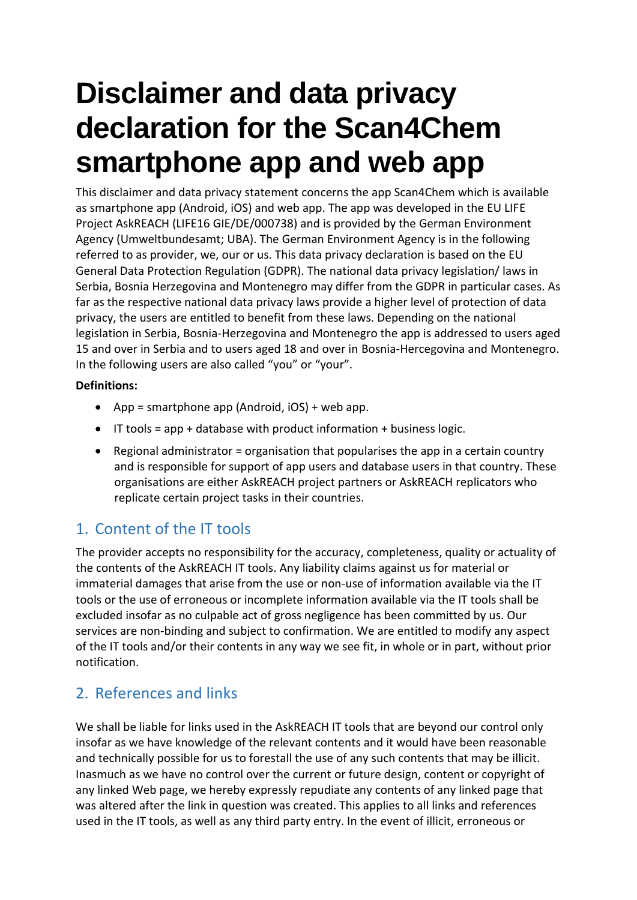# **Disclaimer and data privacy declaration for the Scan4Chem smartphone app and web app**

This disclaimer and data privacy statement concerns the app Scan4Chem which is available as smartphone app (Android, iOS) and web app. The app was developed in the EU LIFE Project AskREACH (LIFE16 GIE/DE/000738) and is provided by the German Environment Agency (Umweltbundesamt; UBA). The German Environment Agency is in the following referred to as provider, we, our or us. This data privacy declaration is based on the EU General Data Protection Regulation (GDPR). The national data privacy legislation/ laws in Serbia, Bosnia Herzegovina and Montenegro may differ from the GDPR in particular cases. As far as the respective national data privacy laws provide a higher level of protection of data privacy, the users are entitled to benefit from these laws. Depending on the national legislation in Serbia, Bosnia-Herzegovina and Montenegro the app is addressed to users aged 15 and over in Serbia and to users aged 18 and over in Bosnia-Hercegovina and Montenegro. In the following users are also called "you" or "your".

# **Definitions:**

- App = smartphone app (Android,  $iOS$ ) + web app.
- $\bullet$  IT tools = app + database with product information + business logic.
- **•** Regional administrator = organisation that popularises the app in a certain country and is responsible for support of app users and database users in that country. These organisations are either AskREACH project partners or AskREACH replicators who replicate certain project tasks in their countries.

# 1. Content of the IT tools

The provider accepts no responsibility for the accuracy, completeness, quality or actuality of the contents of the AskREACH IT tools. Any liability claims against us for material or immaterial damages that arise from the use or non-use of information available via the IT tools or the use of erroneous or incomplete information available via the IT tools shall be excluded insofar as no culpable act of gross negligence has been committed by us. Our services are non-binding and subject to confirmation. We are entitled to modify any aspect of the IT tools and/or their contents in any way we see fit, in whole or in part, without prior notification.

# 2. References and links

We shall be liable for links used in the AskREACH IT tools that are beyond our control only insofar as we have knowledge of the relevant contents and it would have been reasonable and technically possible for us to forestall the use of any such contents that may be illicit. Inasmuch as we have no control over the current or future design, content or copyright of any linked Web page, we hereby expressly repudiate any contents of any linked page that was altered after the link in question was created. This applies to all links and references used in the IT tools, as well as any third party entry. In the event of illicit, erroneous or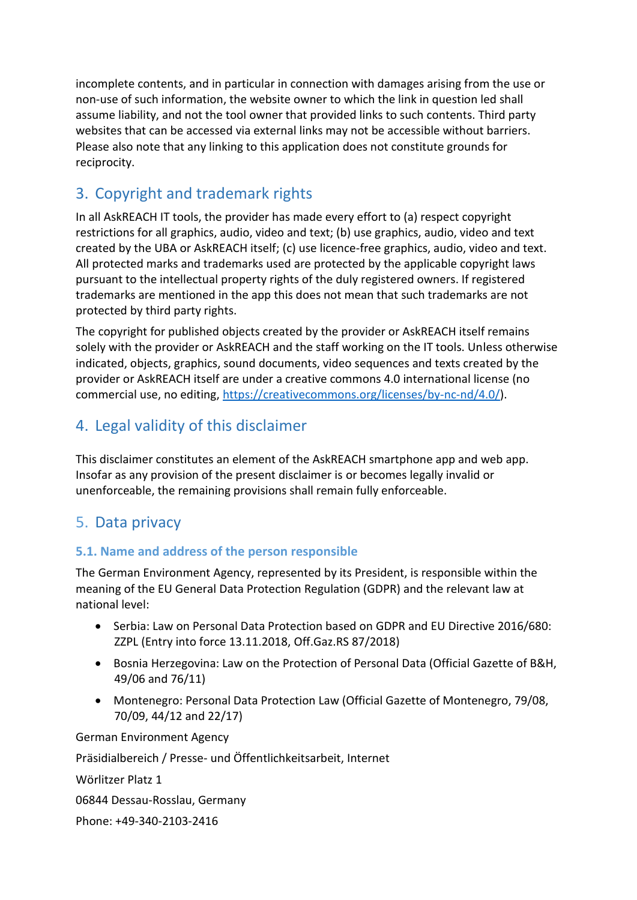incomplete contents, and in particular in connection with damages arising from the use or non-use of such information, the website owner to which the link in question led shall assume liability, and not the tool owner that provided links to such contents. Third party websites that can be accessed via external links may not be accessible without barriers. Please also note that any linking to this application does not constitute grounds for reciprocity.

# 3. Copyright and trademark rights

In all AskREACH IT tools, the provider has made every effort to (a) respect copyright restrictions for all graphics, audio, video and text; (b) use graphics, audio, video and text created by the UBA or AskREACH itself; (c) use licence-free graphics, audio, video and text. All protected marks and trademarks used are protected by the applicable copyright laws pursuant to the intellectual property rights of the duly registered owners. If registered trademarks are mentioned in the app this does not mean that such trademarks are not protected by third party rights.

The copyright for published objects created by the provider or AskREACH itself remains solely with the provider or AskREACH and the staff working on the IT tools. Unless otherwise indicated, objects, graphics, sound documents, video sequences and texts created by the provider or AskREACH itself are under a creative commons 4.0 international license (no commercial use, no editing, [https://creativecommons.org/licenses/by-nc-nd/4.0/\)](https://creativecommons.org/licenses/by-nc-nd/4.0/).

# 4. Legal validity of this disclaimer

This disclaimer constitutes an element of the AskREACH smartphone app and web app. Insofar as any provision of the present disclaimer is or becomes legally invalid or unenforceable, the remaining provisions shall remain fully enforceable.

# 5. Data privacy

# **5.1. Name and address of the person responsible**

The German Environment Agency, represented by its President, is responsible within the meaning of the EU General Data Protection Regulation (GDPR) and the relevant law at national level:

- Serbia: Law on Personal Data Protection based on GDPR and EU Directive 2016/680: ZZPL (Entry into force 13.11.2018, Off.Gaz.RS 87/2018)
- Bosnia Herzegovina: Law on the Protection of Personal Data (Official Gazette of B&H, 49/06 and 76/11)
- Montenegro: Personal Data Protection Law (Official Gazette of Montenegro, 79/08, 70/09, 44/12 and 22/17)

German Environment Agency Präsidialbereich / Presse- und Öffentlichkeitsarbeit, Internet Wörlitzer Platz 1 06844 Dessau-Rosslau, Germany Phone: +49-340-2103-2416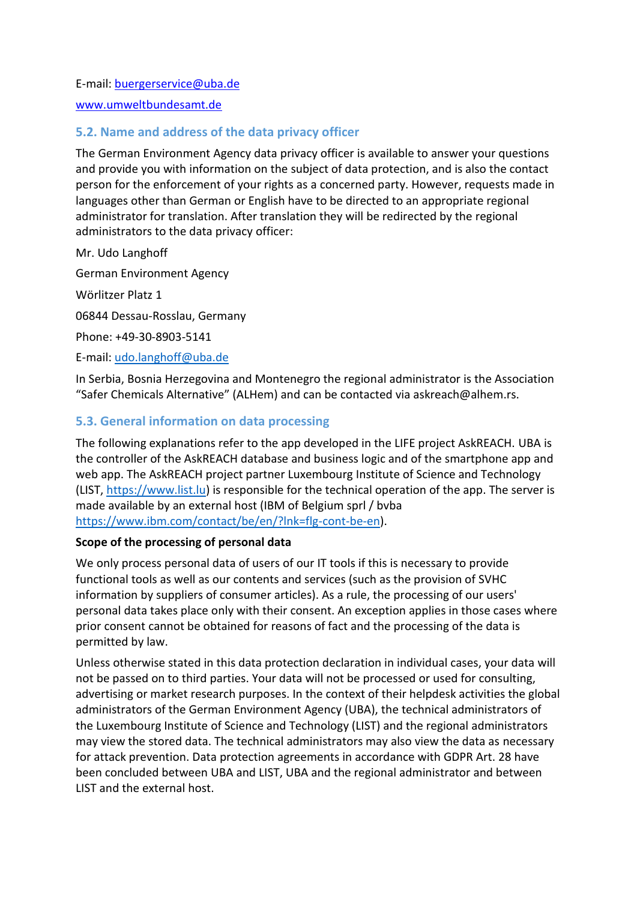E-mail: [buergerservice@uba.de](mailto:buergerservice%40uba.de)

[www.umweltbundesamt.de](http://www.umweltbundesamt.de/)

# **5.2. Name and address of the data privacy officer**

The German Environment Agency data privacy officer is available to answer your questions and provide you with information on the subject of data protection, and is also the contact person for the enforcement of your rights as a concerned party. However, requests made in languages other than German or English have to be directed to an appropriate regional administrator for translation. After translation they will be redirected by the regional administrators to the data privacy officer:

Mr. Udo Langhoff

German Environment Agency

Wörlitzer Platz 1

06844 Dessau-Rosslau, Germany

Phone: +49-30-8903-5141

E-mail: [udo.langhoff@uba.de](mailto:udo.langhoff@uba.de%5D)

In Serbia, Bosnia Herzegovina and Montenegro the regional administrator is the Association "Safer Chemicals Alternative" (ALHem) and can be contacted via askreach@alhem.rs.

# **5.3. General information on data processing**

The following explanations refer to the app developed in the LIFE project AskREACH. UBA is the controller of the AskREACH database and business logic and of the smartphone app and web app. The AskREACH project partner Luxembourg Institute of Science and Technology (LIST, [https://www.list.lu\)](https://www.list.lu/) is responsible for the technical operation of the app. The server is made available by an external host (IBM of Belgium sprl / bvba [https://www.ibm.com/contact/be/en/?lnk=flg-cont-be-en\)](https://www.ibm.com/contact/be/en/?lnk=flg-cont-be-en).

#### **Scope of the processing of personal data**

We only process personal data of users of our IT tools if this is necessary to provide functional tools as well as our contents and services (such as the provision of SVHC information by suppliers of consumer articles). As a rule, the processing of our users' personal data takes place only with their consent. An exception applies in those cases where prior consent cannot be obtained for reasons of fact and the processing of the data is permitted by law.

Unless otherwise stated in this data protection declaration in individual cases, your data will not be passed on to third parties. Your data will not be processed or used for consulting, advertising or market research purposes. In the context of their helpdesk activities the global administrators of the German Environment Agency (UBA), the technical administrators of the Luxembourg Institute of Science and Technology (LIST) and the regional administrators may view the stored data. The technical administrators may also view the data as necessary for attack prevention. Data protection agreements in accordance with GDPR Art. 28 have been concluded between UBA and LIST, UBA and the regional administrator and between LIST and the external host.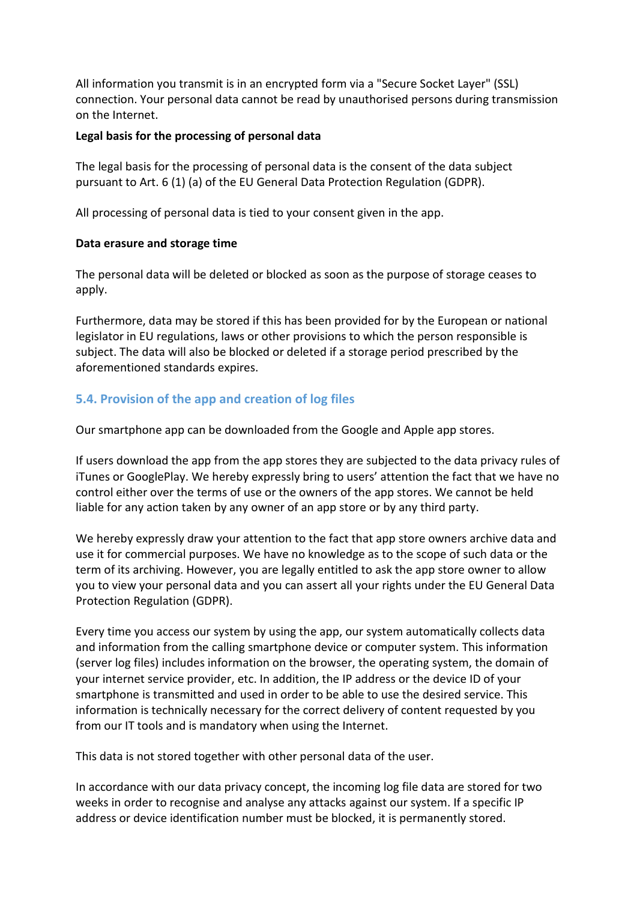All information you transmit is in an encrypted form via a "Secure Socket Layer" (SSL) connection. Your personal data cannot be read by unauthorised persons during transmission on the Internet.

#### **Legal basis for the processing of personal data**

The legal basis for the processing of personal data is the consent of the data subject pursuant to Art. 6 (1) (a) of the EU General Data Protection Regulation (GDPR).

All processing of personal data is tied to your consent given in the app.

#### **Data erasure and storage time**

The personal data will be deleted or blocked as soon as the purpose of storage ceases to apply.

Furthermore, data may be stored if this has been provided for by the European or national legislator in EU regulations, laws or other provisions to which the person responsible is subject. The data will also be blocked or deleted if a storage period prescribed by the aforementioned standards expires.

# **5.4. Provision of the app and creation of log files**

Our smartphone app can be downloaded from the Google and Apple app stores.

If users download the app from the app stores they are subjected to the data privacy rules of iTunes or GooglePlay. We hereby expressly bring to users' attention the fact that we have no control either over the terms of use or the owners of the app stores. We cannot be held liable for any action taken by any owner of an app store or by any third party.

We hereby expressly draw your attention to the fact that app store owners archive data and use it for commercial purposes. We have no knowledge as to the scope of such data or the term of its archiving. However, you are legally entitled to ask the app store owner to allow you to view your personal data and you can assert all your rights under the EU General Data Protection Regulation (GDPR).

Every time you access our system by using the app, our system automatically collects data and information from the calling smartphone device or computer system. This information (server log files) includes information on the browser, the operating system, the domain of your internet service provider, etc. In addition, the IP address or the device ID of your smartphone is transmitted and used in order to be able to use the desired service. This information is technically necessary for the correct delivery of content requested by you from our IT tools and is mandatory when using the Internet.

This data is not stored together with other personal data of the user.

In accordance with our data privacy concept, the incoming log file data are stored for two weeks in order to recognise and analyse any attacks against our system. If a specific IP address or device identification number must be blocked, it is permanently stored.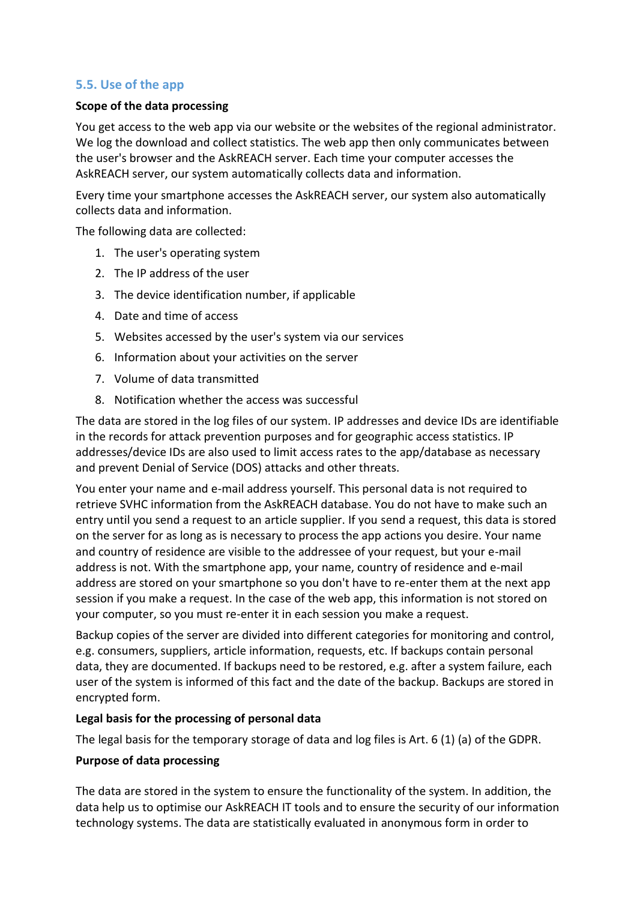# **5.5. Use of the app**

#### **Scope of the data processing**

You get access to the web app via our website or the websites of the regional administrator. We log the download and collect statistics. The web app then only communicates between the user's browser and the AskREACH server. Each time your computer accesses the AskREACH server, our system automatically collects data and information.

Every time your smartphone accesses the AskREACH server, our system also automatically collects data and information.

The following data are collected:

- 1. The user's operating system
- 2. The IP address of the user
- 3. The device identification number, if applicable
- 4. Date and time of access
- 5. Websites accessed by the user's system via our services
- 6. Information about your activities on the server
- 7. Volume of data transmitted
- 8. Notification whether the access was successful

The data are stored in the log files of our system. IP addresses and device IDs are identifiable in the records for attack prevention purposes and for geographic access statistics. IP addresses/device IDs are also used to limit access rates to the app/database as necessary and prevent Denial of Service (DOS) attacks and other threats.

You enter your name and e-mail address yourself. This personal data is not required to retrieve SVHC information from the AskREACH database. You do not have to make such an entry until you send a request to an article supplier. If you send a request, this data is stored on the server for as long as is necessary to process the app actions you desire. Your name and country of residence are visible to the addressee of your request, but your e-mail address is not. With the smartphone app, your name, country of residence and e-mail address are stored on your smartphone so you don't have to re-enter them at the next app session if you make a request. In the case of the web app, this information is not stored on your computer, so you must re-enter it in each session you make a request.

Backup copies of the server are divided into different categories for monitoring and control, e.g. consumers, suppliers, article information, requests, etc. If backups contain personal data, they are documented. If backups need to be restored, e.g. after a system failure, each user of the system is informed of this fact and the date of the backup. Backups are stored in encrypted form.

#### **Legal basis for the processing of personal data**

The legal basis for the temporary storage of data and log files is Art. 6 (1) (a) of the GDPR.

#### **Purpose of data processing**

The data are stored in the system to ensure the functionality of the system. In addition, the data help us to optimise our AskREACH IT tools and to ensure the security of our information technology systems. The data are statistically evaluated in anonymous form in order to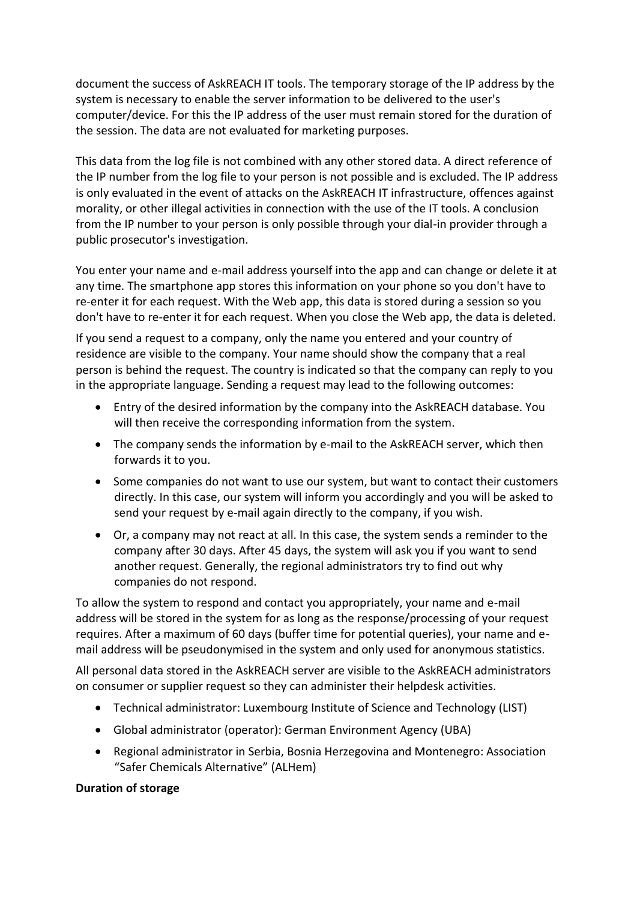document the success of AskREACH IT tools. The temporary storage of the IP address by the system is necessary to enable the server information to be delivered to the user's computer/device. For this the IP address of the user must remain stored for the duration of the session. The data are not evaluated for marketing purposes.

This data from the log file is not combined with any other stored data. A direct reference of the IP number from the log file to your person is not possible and is excluded. The IP address is only evaluated in the event of attacks on the AskREACH IT infrastructure, offences against morality, or other illegal activities in connection with the use of the IT tools. A conclusion from the IP number to your person is only possible through your dial-in provider through a public prosecutor's investigation.

You enter your name and e-mail address yourself into the app and can change or delete it at any time. The smartphone app stores this information on your phone so you don't have to re-enter it for each request. With the Web app, this data is stored during a session so you don't have to re-enter it for each request. When you close the Web app, the data is deleted.

If you send a request to a company, only the name you entered and your country of residence are visible to the company. Your name should show the company that a real person is behind the request. The country is indicated so that the company can reply to you in the appropriate language. Sending a request may lead to the following outcomes:

- Entry of the desired information by the company into the AskREACH database. You will then receive the corresponding information from the system.
- The company sends the information by e-mail to the AskREACH server, which then forwards it to you.
- Some companies do not want to use our system, but want to contact their customers directly. In this case, our system will inform you accordingly and you will be asked to send your request by e-mail again directly to the company, if you wish.
- Or, a company may not react at all. In this case, the system sends a reminder to the company after 30 days. After 45 days, the system will ask you if you want to send another request. Generally, the regional administrators try to find out why companies do not respond.

To allow the system to respond and contact you appropriately, your name and e-mail address will be stored in the system for as long as the response/processing of your request requires. After a maximum of 60 days (buffer time for potential queries), your name and email address will be pseudonymised in the system and only used for anonymous statistics.

All personal data stored in the AskREACH server are visible to the AskREACH administrators on consumer or supplier request so they can administer their helpdesk activities.

- Technical administrator: Luxembourg Institute of Science and Technology (LIST)
- Global administrator (operator): German Environment Agency (UBA)
- Regional administrator in Serbia, Bosnia Herzegovina and Montenegro: Association "Safer Chemicals Alternative" (ALHem)

## **Duration of storage**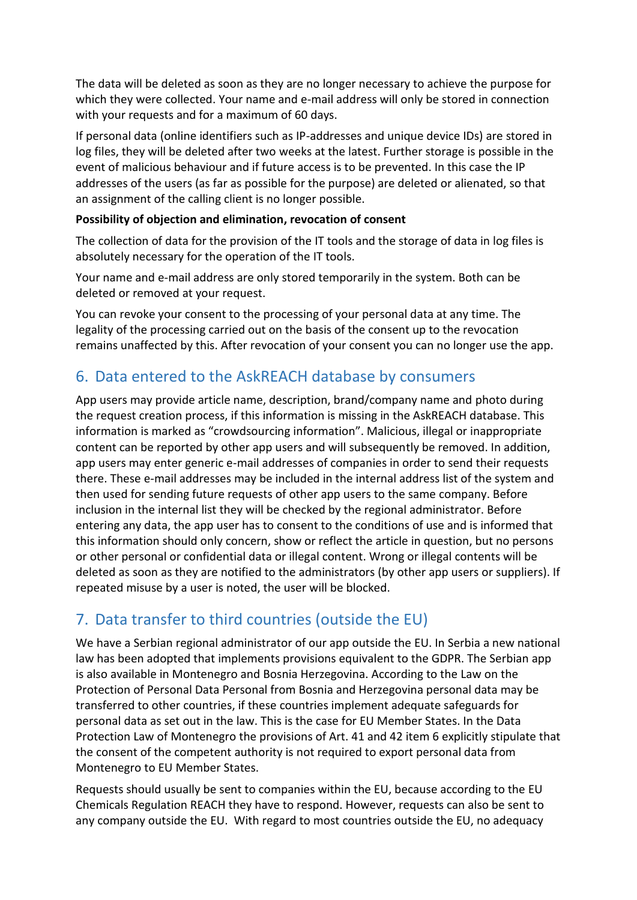The data will be deleted as soon as they are no longer necessary to achieve the purpose for which they were collected. Your name and e-mail address will only be stored in connection with your requests and for a maximum of 60 days.

If personal data (online identifiers such as IP-addresses and unique device IDs) are stored in log files, they will be deleted after two weeks at the latest. Further storage is possible in the event of malicious behaviour and if future access is to be prevented. In this case the IP addresses of the users (as far as possible for the purpose) are deleted or alienated, so that an assignment of the calling client is no longer possible.

## **Possibility of objection and elimination, revocation of consent**

The collection of data for the provision of the IT tools and the storage of data in log files is absolutely necessary for the operation of the IT tools.

Your name and e-mail address are only stored temporarily in the system. Both can be deleted or removed at your request.

You can revoke your consent to the processing of your personal data at any time. The legality of the processing carried out on the basis of the consent up to the revocation remains unaffected by this. After revocation of your consent you can no longer use the app.

# 6. Data entered to the AskREACH database by consumers

App users may provide article name, description, brand/company name and photo during the request creation process, if this information is missing in the AskREACH database. This information is marked as "crowdsourcing information". Malicious, illegal or inappropriate content can be reported by other app users and will subsequently be removed. In addition, app users may enter generic e-mail addresses of companies in order to send their requests there. These e-mail addresses may be included in the internal address list of the system and then used for sending future requests of other app users to the same company. Before inclusion in the internal list they will be checked by the regional administrator. Before entering any data, the app user has to consent to the conditions of use and is informed that this information should only concern, show or reflect the article in question, but no persons or other personal or confidential data or illegal content. Wrong or illegal contents will be deleted as soon as they are notified to the administrators (by other app users or suppliers). If repeated misuse by a user is noted, the user will be blocked.

# 7. Data transfer to third countries (outside the EU)

We have a Serbian regional administrator of our app outside the EU. In Serbia a new national law has been adopted that implements provisions equivalent to the GDPR. The Serbian app is also available in Montenegro and Bosnia Herzegovina. According to the Law on the Protection of Personal Data Personal from Bosnia and Herzegovina personal data may be transferred to other countries, if these countries implement adequate safeguards for personal data as set out in the law. This is the case for EU Member States. In the Data Protection Law of Montenegro the provisions of Art. 41 and 42 item 6 explicitly stipulate that the consent of the competent authority is not required to export personal data from Montenegro to EU Member States.

Requests should usually be sent to companies within the EU, because according to the EU Chemicals Regulation REACH they have to respond. However, requests can also be sent to any company outside the EU. With regard to most countries outside the EU, no adequacy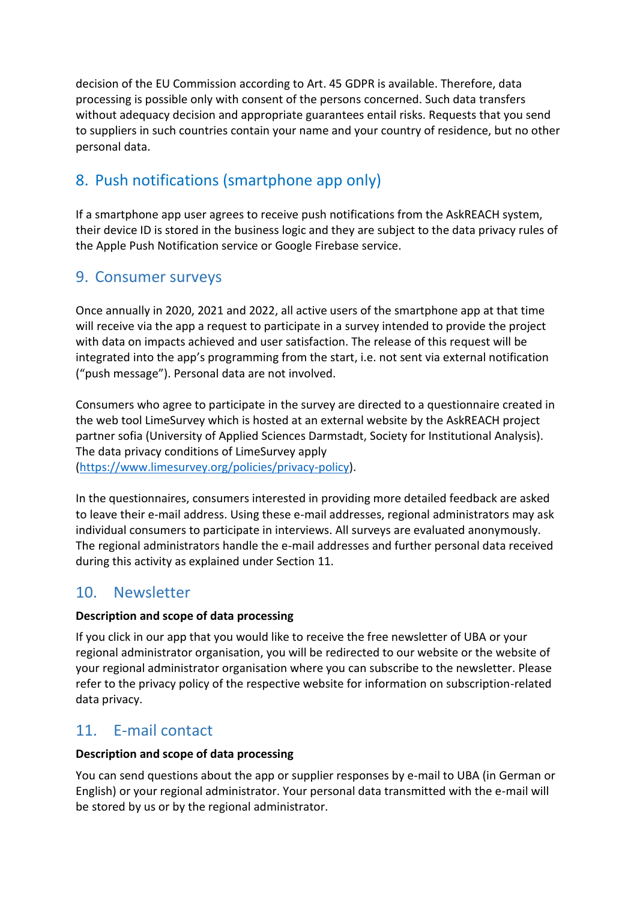decision of the EU Commission according to Art. 45 GDPR is available. Therefore, data processing is possible only with consent of the persons concerned. Such data transfers without adequacy decision and appropriate guarantees entail risks. Requests that you send to suppliers in such countries contain your name and your country of residence, but no other personal data.

# 8. Push notifications (smartphone app only)

If a smartphone app user agrees to receive push notifications from the AskREACH system, their device ID is stored in the business logic and they are subject to the data privacy rules of the Apple Push Notification service or Google Firebase service.

# 9. Consumer surveys

Once annually in 2020, 2021 and 2022, all active users of the smartphone app at that time will receive via the app a request to participate in a survey intended to provide the project with data on impacts achieved and user satisfaction. The release of this request will be integrated into the app's programming from the start, i.e. not sent via external notification ("push message"). Personal data are not involved.

Consumers who agree to participate in the survey are directed to a questionnaire created in the web tool LimeSurvey which is hosted at an external website by the AskREACH project partner sofia (University of Applied Sciences Darmstadt, Society for Institutional Analysis). The data privacy conditions of LimeSurvey apply [\(https://www.limesurvey.org/policies/privacy-policy\)](https://www.limesurvey.org/policies/privacy-policy).

In the questionnaires, consumers interested in providing more detailed feedback are asked to leave their e-mail address. Using these e-mail addresses, regional administrators may ask individual consumers to participate in interviews. All surveys are evaluated anonymously. The regional administrators handle the e-mail addresses and further personal data received during this activity as explained under Section 11.

# 10. Newsletter

# **Description and scope of data processing**

If you click in our app that you would like to receive the free newsletter of UBA or your regional administrator organisation, you will be redirected to our website or the website of your regional administrator organisation where you can subscribe to the newsletter. Please refer to the privacy policy of the respective website for information on subscription-related data privacy.

# 11. E-mail contact

# **Description and scope of data processing**

You can send questions about the app or supplier responses by e-mail to UBA (in German or English) or your regional administrator. Your personal data transmitted with the e-mail will be stored by us or by the regional administrator.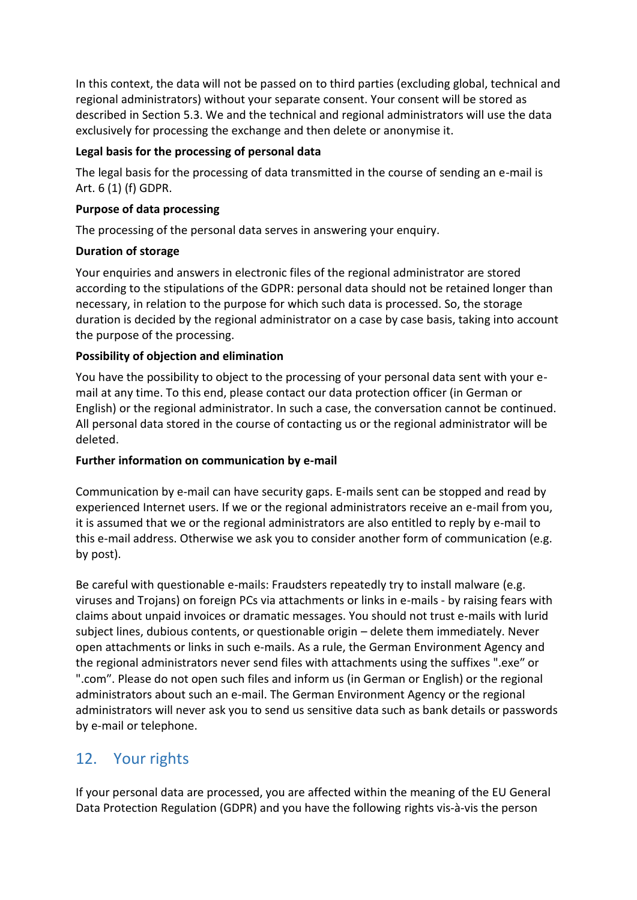In this context, the data will not be passed on to third parties (excluding global, technical and regional administrators) without your separate consent. Your consent will be stored as described in Section 5.3. We and the technical and regional administrators will use the data exclusively for processing the exchange and then delete or anonymise it.

## **Legal basis for the processing of personal data**

The legal basis for the processing of data transmitted in the course of sending an e-mail is Art. 6 (1) (f) GDPR.

# **Purpose of data processing**

The processing of the personal data serves in answering your enquiry.

# **Duration of storage**

Your enquiries and answers in electronic files of the regional administrator are stored according to the stipulations of the GDPR: personal data should not be retained longer than necessary, in relation to the purpose for which such data is processed. So, the storage duration is decided by the regional administrator on a case by case basis, taking into account the purpose of the processing.

# **Possibility of objection and elimination**

You have the possibility to object to the processing of your personal data sent with your email at any time. To this end, please contact our data protection officer (in German or English) or the regional administrator. In such a case, the conversation cannot be continued. All personal data stored in the course of contacting us or the regional administrator will be deleted.

## **Further information on communication by e-mail**

Communication by e-mail can have security gaps. E-mails sent can be stopped and read by experienced Internet users. If we or the regional administrators receive an e-mail from you, it is assumed that we or the regional administrators are also entitled to reply by e-mail to this e-mail address. Otherwise we ask you to consider another form of communication (e.g. by post).

Be careful with questionable e-mails: Fraudsters repeatedly try to install malware (e.g. viruses and Trojans) on foreign PCs via attachments or links in e-mails - by raising fears with claims about unpaid invoices or dramatic messages. You should not trust e-mails with lurid subject lines, dubious contents, or questionable origin – delete them immediately. Never open attachments or links in such e-mails. As a rule, the German Environment Agency and the regional administrators never send files with attachments using the suffixes ".exe″ or ".com″. Please do not open such files and inform us (in German or English) or the regional administrators about such an e-mail. The German Environment Agency or the regional administrators will never ask you to send us sensitive data such as bank details or passwords by e-mail or telephone.

# 12. Your rights

If your personal data are processed, you are affected within the meaning of the EU General Data Protection Regulation (GDPR) and you have the following rights vis-à-vis the person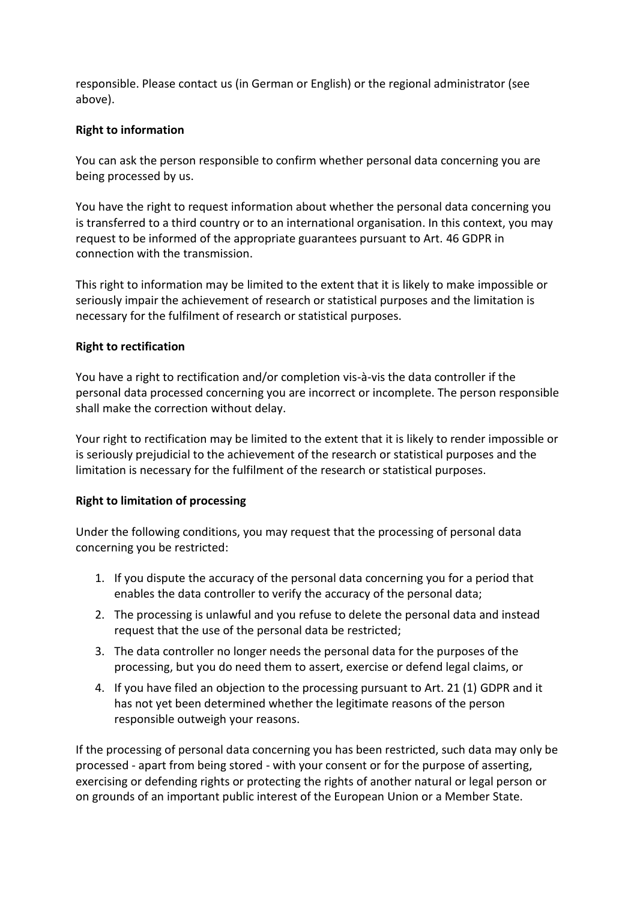responsible. Please contact us (in German or English) or the regional administrator (see above).

#### **Right to information**

You can ask the person responsible to confirm whether personal data concerning you are being processed by us.

You have the right to request information about whether the personal data concerning you is transferred to a third country or to an international organisation. In this context, you may request to be informed of the appropriate guarantees pursuant to Art. 46 GDPR in connection with the transmission.

This right to information may be limited to the extent that it is likely to make impossible or seriously impair the achievement of research or statistical purposes and the limitation is necessary for the fulfilment of research or statistical purposes.

#### **Right to rectification**

You have a right to rectification and/or completion vis-à-vis the data controller if the personal data processed concerning you are incorrect or incomplete. The person responsible shall make the correction without delay.

Your right to rectification may be limited to the extent that it is likely to render impossible or is seriously prejudicial to the achievement of the research or statistical purposes and the limitation is necessary for the fulfilment of the research or statistical purposes.

## **Right to limitation of processing**

Under the following conditions, you may request that the processing of personal data concerning you be restricted:

- 1. If you dispute the accuracy of the personal data concerning you for a period that enables the data controller to verify the accuracy of the personal data;
- 2. The processing is unlawful and you refuse to delete the personal data and instead request that the use of the personal data be restricted;
- 3. The data controller no longer needs the personal data for the purposes of the processing, but you do need them to assert, exercise or defend legal claims, or
- 4. If you have filed an objection to the processing pursuant to Art. 21 (1) GDPR and it has not yet been determined whether the legitimate reasons of the person responsible outweigh your reasons.

If the processing of personal data concerning you has been restricted, such data may only be processed - apart from being stored - with your consent or for the purpose of asserting, exercising or defending rights or protecting the rights of another natural or legal person or on grounds of an important public interest of the European Union or a Member State.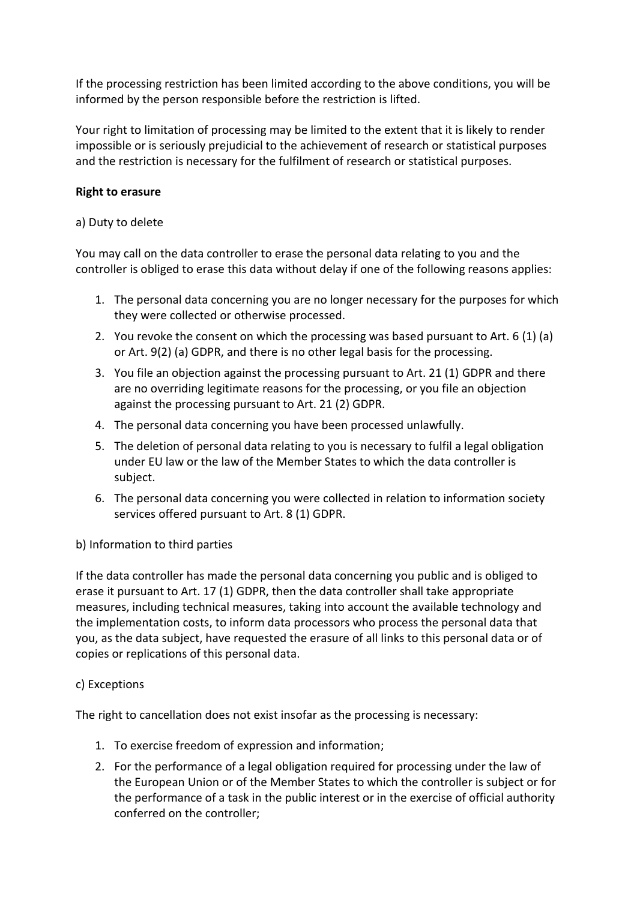If the processing restriction has been limited according to the above conditions, you will be informed by the person responsible before the restriction is lifted.

Your right to limitation of processing may be limited to the extent that it is likely to render impossible or is seriously prejudicial to the achievement of research or statistical purposes and the restriction is necessary for the fulfilment of research or statistical purposes.

#### **Right to erasure**

#### a) Duty to delete

You may call on the data controller to erase the personal data relating to you and the controller is obliged to erase this data without delay if one of the following reasons applies:

- 1. The personal data concerning you are no longer necessary for the purposes for which they were collected or otherwise processed.
- 2. You revoke the consent on which the processing was based pursuant to Art. 6 (1) (a) or Art. 9(2) (a) GDPR, and there is no other legal basis for the processing.
- 3. You file an objection against the processing pursuant to Art. 21 (1) GDPR and there are no overriding legitimate reasons for the processing, or you file an objection against the processing pursuant to Art. 21 (2) GDPR.
- 4. The personal data concerning you have been processed unlawfully.
- 5. The deletion of personal data relating to you is necessary to fulfil a legal obligation under EU law or the law of the Member States to which the data controller is subject.
- 6. The personal data concerning you were collected in relation to information society services offered pursuant to Art. 8 (1) GDPR.

## b) Information to third parties

If the data controller has made the personal data concerning you public and is obliged to erase it pursuant to Art. 17 (1) GDPR, then the data controller shall take appropriate measures, including technical measures, taking into account the available technology and the implementation costs, to inform data processors who process the personal data that you, as the data subject, have requested the erasure of all links to this personal data or of copies or replications of this personal data.

## c) Exceptions

The right to cancellation does not exist insofar as the processing is necessary:

- 1. To exercise freedom of expression and information;
- 2. For the performance of a legal obligation required for processing under the law of the European Union or of the Member States to which the controller is subject or for the performance of a task in the public interest or in the exercise of official authority conferred on the controller;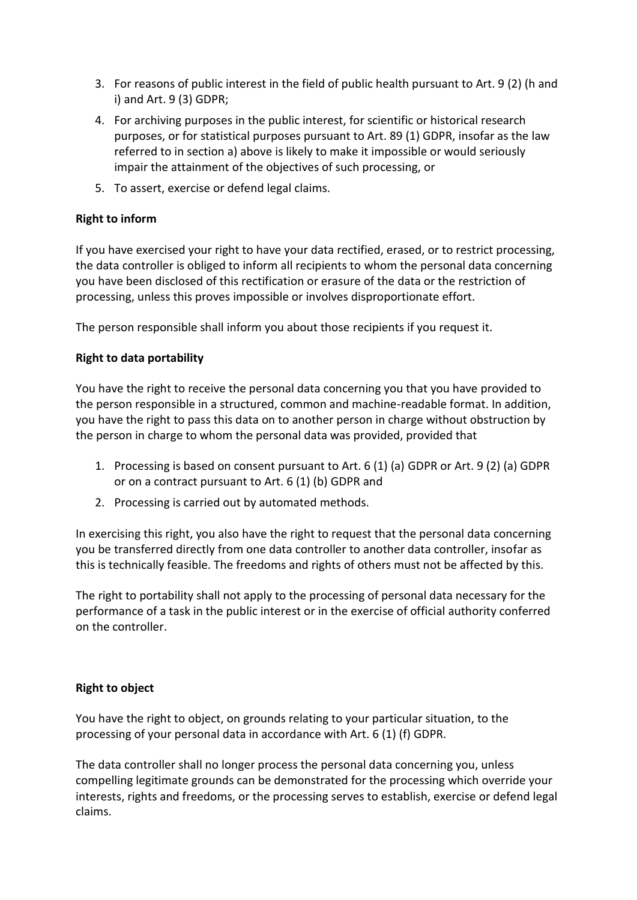- 3. For reasons of public interest in the field of public health pursuant to Art. 9 (2) (h and i) and Art. 9 (3) GDPR;
- 4. For archiving purposes in the public interest, for scientific or historical research purposes, or for statistical purposes pursuant to Art. 89 (1) GDPR, insofar as the law referred to in section a) above is likely to make it impossible or would seriously impair the attainment of the objectives of such processing, or
- 5. To assert, exercise or defend legal claims.

# **Right to inform**

If you have exercised your right to have your data rectified, erased, or to restrict processing, the data controller is obliged to inform all recipients to whom the personal data concerning you have been disclosed of this rectification or erasure of the data or the restriction of processing, unless this proves impossible or involves disproportionate effort.

The person responsible shall inform you about those recipients if you request it.

## **Right to data portability**

You have the right to receive the personal data concerning you that you have provided to the person responsible in a structured, common and machine-readable format. In addition, you have the right to pass this data on to another person in charge without obstruction by the person in charge to whom the personal data was provided, provided that

- 1. Processing is based on consent pursuant to Art. 6 (1) (a) GDPR or Art. 9 (2) (a) GDPR or on a contract pursuant to Art. 6 (1) (b) GDPR and
- 2. Processing is carried out by automated methods.

In exercising this right, you also have the right to request that the personal data concerning you be transferred directly from one data controller to another data controller, insofar as this is technically feasible. The freedoms and rights of others must not be affected by this.

The right to portability shall not apply to the processing of personal data necessary for the performance of a task in the public interest or in the exercise of official authority conferred on the controller.

## **Right to object**

You have the right to object, on grounds relating to your particular situation, to the processing of your personal data in accordance with Art. 6 (1) (f) GDPR.

The data controller shall no longer process the personal data concerning you, unless compelling legitimate grounds can be demonstrated for the processing which override your interests, rights and freedoms, or the processing serves to establish, exercise or defend legal claims.